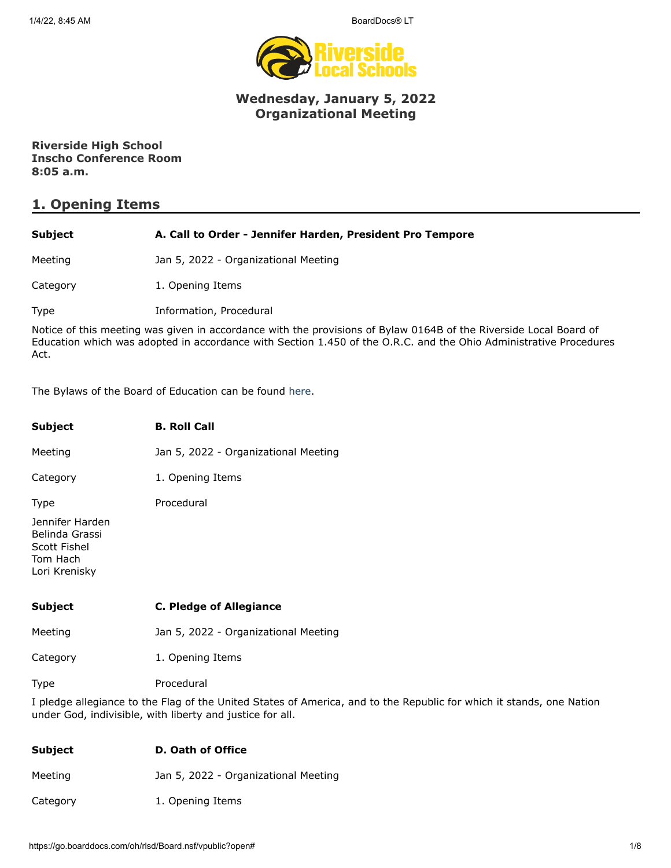1/4/22, 8:45 AM BoardDocs® LT



# **Wednesday, January 5, 2022 Organizational Meeting**

**Riverside High School Inscho Conference Room 8:05 a.m.**

# **1. Opening Items**

| Subject                                                                                                                                                                                                                                        | A. Call to Order - Jennifer Harden, President Pro Tempore |
|------------------------------------------------------------------------------------------------------------------------------------------------------------------------------------------------------------------------------------------------|-----------------------------------------------------------|
| Meeting                                                                                                                                                                                                                                        | Jan 5, 2022 - Organizational Meeting                      |
| Category                                                                                                                                                                                                                                       | 1. Opening Items                                          |
| Type                                                                                                                                                                                                                                           | Information, Procedural                                   |
| Notice of this meeting was given in accordance with the provisions of Bylaw 0164B of the Riverside Local Board of<br>Education which was adopted in accordance with Section 1.450 of the O.R.C. and the Ohio Administrative Procedures<br>Act. |                                                           |

The Bylaws of the Board of Education can be found [here.](http://www.neola.com/riverside(lake)-oh/)

| <b>Subject</b>                                                                 | <b>B. Roll Call</b>                  |
|--------------------------------------------------------------------------------|--------------------------------------|
| Meeting                                                                        | Jan 5, 2022 - Organizational Meeting |
| Category                                                                       | 1. Opening Items                     |
| <b>Type</b>                                                                    | Procedural                           |
| Jennifer Harden<br>Belinda Grassi<br>Scott Fishel<br>Tom Hach<br>Lori Krenisky |                                      |
| <b>Subject</b>                                                                 | <b>C. Pledge of Allegiance</b>       |
| Meeting                                                                        | Jan 5, 2022 - Organizational Meeting |
| Category                                                                       | 1. Opening Items                     |
|                                                                                |                                      |

Type Procedural

I pledge allegiance to the Flag of the United States of America, and to the Republic for which it stands, one Nation under God, indivisible, with liberty and justice for all.

| Subject  | D. Oath of Office                    |
|----------|--------------------------------------|
| Meeting  | Jan 5, 2022 - Organizational Meeting |
| Category | 1. Opening Items                     |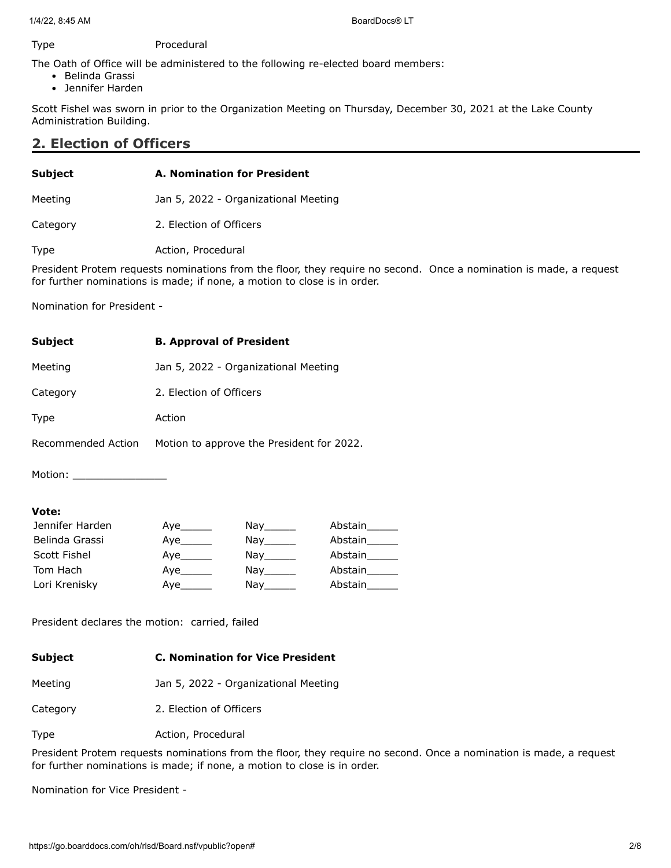### Type Procedural

The Oath of Office will be administered to the following re-elected board members:

- Belinda Grassi
- Jennifer Harden

Scott Fishel was sworn in prior to the Organization Meeting on Thursday, December 30, 2021 at the Lake County Administration Building.

### **2. Election of Officers**

| <b>Subject</b> | A. Nomination for President          |  |  |
|----------------|--------------------------------------|--|--|
| Meeting        | Jan 5, 2022 - Organizational Meeting |  |  |
| Category       | 2. Election of Officers              |  |  |
| Type           | Action, Procedural                   |  |  |

President Protem requests nominations from the floor, they require no second. Once a nomination is made, a request for further nominations is made; if none, a motion to close is in order.

Nomination for President -

| <b>Subject</b>     | <b>B. Approval of President</b>           |
|--------------------|-------------------------------------------|
| Meeting            | Jan 5, 2022 - Organizational Meeting      |
| Category           | 2. Election of Officers                   |
| Type               | Action                                    |
| Recommended Action | Motion to approve the President for 2022. |
|                    |                                           |

Motion: \_\_\_\_\_\_\_\_\_\_\_\_\_\_\_

### **Vote:**

| Jennifer Harden | Aye       | Nay the second the second second that the second second second the second second second second second second s         | Abstain |
|-----------------|-----------|------------------------------------------------------------------------------------------------------------------------|---------|
| Belinda Grassi  | Aye       | Nay_______                                                                                                             | Abstain |
| Scott Fishel    | Aye______ | Nay the second the second second that the second second second the second second second second second second s         | Abstain |
| Tom Hach        | Aye       | Nay the second the second second that the second second second in the second second second second second second $\sim$ | Abstain |
| Lori Krenisky   | Ave       | Nay                                                                                                                    | Abstain |

President declares the motion: carried, failed

| Subject | <b>C. Nomination for Vice President</b> |
|---------|-----------------------------------------|
| Meeting | Jan 5, 2022 - Organizational Meeting    |

Category 2. Election of Officers

Type **Action**, Procedural

President Protem requests nominations from the floor, they require no second. Once a nomination is made, a request for further nominations is made; if none, a motion to close is in order.

Nomination for Vice President -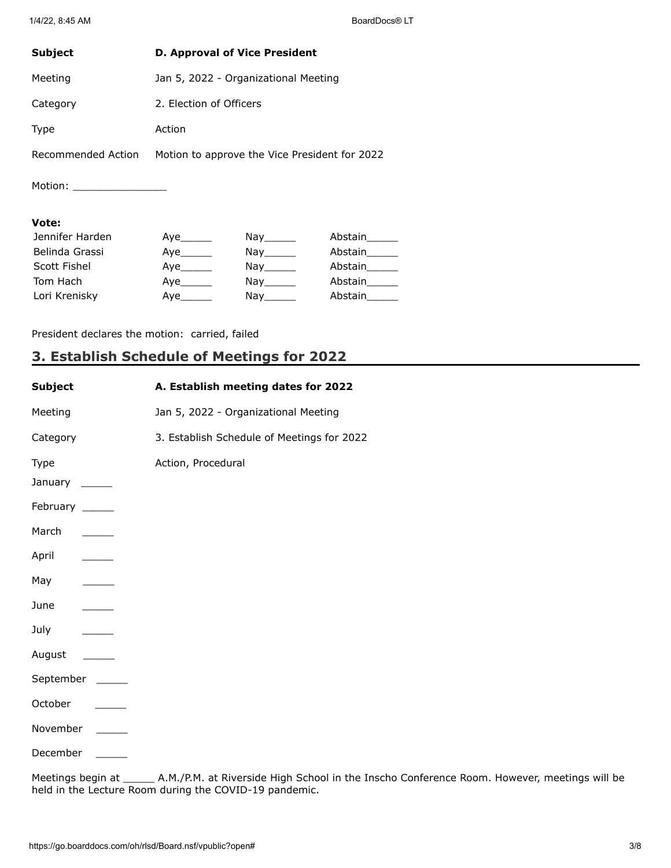| <b>Subject</b>     | <b>D. Approval of Vice President</b>          |
|--------------------|-----------------------------------------------|
| Meeting            | Jan 5, 2022 - Organizational Meeting          |
| Category           | 2. Election of Officers                       |
| <b>Type</b>        | Action                                        |
| Recommended Action | Motion to approve the Vice President for 2022 |
| Motion:            |                                               |

### **Vote:**

| Jennifer Harden | Aye_______ | Nay the second the second second that the second second second the second second second second second second s                | Abstain |
|-----------------|------------|-------------------------------------------------------------------------------------------------------------------------------|---------|
| Belinda Grassi  | Aye        | Nay the control of the control of the control of the control of the control of the control of the control of th               | Abstain |
| Scott Fishel    | Aye        | Nay                                                                                                                           | Abstain |
| Tom Hach        | Aye_______ | Nay the second the second term in the second second term in the second second term in the second second term in $\mathcal{L}$ | Abstain |
| Lori Krenisky   | Aye______  | Nay the second the second second that the second second second the second second second second second second s                | Abstain |

President declares the motion: carried, failed

# **3. Establish Schedule of Meetings for 2022**

| Subject           | A. Establish meeting dates for 2022                                                |
|-------------------|------------------------------------------------------------------------------------|
| Meeting           | Jan 5, 2022 - Organizational Meeting                                               |
| Category          | 3. Establish Schedule of Meetings for 2022                                         |
| Type<br>January   | Action, Procedural                                                                 |
| February _____    |                                                                                    |
| March             |                                                                                    |
| April             |                                                                                    |
| May               |                                                                                    |
| June              |                                                                                    |
| July              |                                                                                    |
| August            |                                                                                    |
| September         |                                                                                    |
| October           |                                                                                    |
| November          |                                                                                    |
| December          |                                                                                    |
| Meetings hegin at | A M /PM at Riverside High School in the Inscho Conference Room However meetings wi |

Meetings begin at \_\_\_\_\_ A.M./P.M. at Riverside High School in the Inscho Conference Room. However, meetings will be held in the Lecture Room during the COVID-19 pandemic.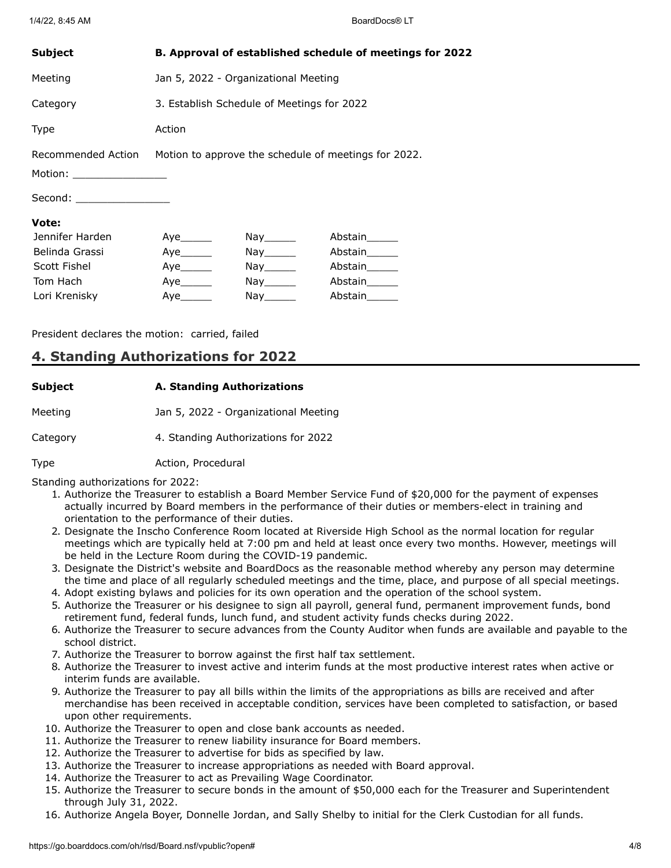| <b>Subject</b>                                   | B. Approval of established schedule of meetings for 2022 |                                            |                                                      |  |
|--------------------------------------------------|----------------------------------------------------------|--------------------------------------------|------------------------------------------------------|--|
| Meeting                                          | Jan 5, 2022 - Organizational Meeting                     |                                            |                                                      |  |
| Category                                         |                                                          | 3. Establish Schedule of Meetings for 2022 |                                                      |  |
| Type                                             | Action                                                   |                                            |                                                      |  |
| Recommended Action<br>Motion: __________________ |                                                          |                                            | Motion to approve the schedule of meetings for 2022. |  |
| Second: _________________                        |                                                          |                                            |                                                      |  |
| Vote:                                            |                                                          |                                            |                                                      |  |
| Jennifer Harden                                  | Aye_______                                               | Nay_______                                 | Abstain______                                        |  |
| Belinda Grassi                                   |                                                          | Nay ________                               | Abstain______                                        |  |
| Scott Fishel                                     | Aye                                                      | Nay ________                               | Abstain                                              |  |
| Tom Hach                                         | Aye                                                      | $Nay$ <sub>________</sub>                  | Abstain                                              |  |
| Lori Krenisky                                    |                                                          | $\mathsf{Nay}$ <sub>________</sub>         | Abstain______                                        |  |

President declares the motion: carried, failed

### **4. Standing Authorizations for 2022**

# **Subject A. Standing Authorizations** Meeting Jan 5, 2022 - Organizational Meeting

Category 4. Standing Authorizations for 2022

### Type **Action**, Procedural

Standing authorizations for 2022:

- 1. Authorize the Treasurer to establish a Board Member Service Fund of \$20,000 for the payment of expenses actually incurred by Board members in the performance of their duties or members-elect in training and orientation to the performance of their duties.
- 2. Designate the Inscho Conference Room located at Riverside High School as the normal location for regular meetings which are typically held at 7:00 pm and held at least once every two months. However, meetings will be held in the Lecture Room during the COVID-19 pandemic.
- 3. Designate the District's website and BoardDocs as the reasonable method whereby any person may determine the time and place of all regularly scheduled meetings and the time, place, and purpose of all special meetings.
- 4. Adopt existing bylaws and policies for its own operation and the operation of the school system.
- 5. Authorize the Treasurer or his designee to sign all payroll, general fund, permanent improvement funds, bond retirement fund, federal funds, lunch fund, and student activity funds checks during 2022.
- 6. Authorize the Treasurer to secure advances from the County Auditor when funds are available and payable to the school district.
- 7. Authorize the Treasurer to borrow against the first half tax settlement.
- 8. Authorize the Treasurer to invest active and interim funds at the most productive interest rates when active or interim funds are available.
- 9. Authorize the Treasurer to pay all bills within the limits of the appropriations as bills are received and after merchandise has been received in acceptable condition, services have been completed to satisfaction, or based upon other requirements.
- 10. Authorize the Treasurer to open and close bank accounts as needed.
- 11. Authorize the Treasurer to renew liability insurance for Board members.
- 12. Authorize the Treasurer to advertise for bids as specified by law.
- 13. Authorize the Treasurer to increase appropriations as needed with Board approval.
- 14. Authorize the Treasurer to act as Prevailing Wage Coordinator.
- 15. Authorize the Treasurer to secure bonds in the amount of \$50,000 each for the Treasurer and Superintendent through July 31, 2022.
- 16. Authorize Angela Boyer, Donnelle Jordan, and Sally Shelby to initial for the Clerk Custodian for all funds.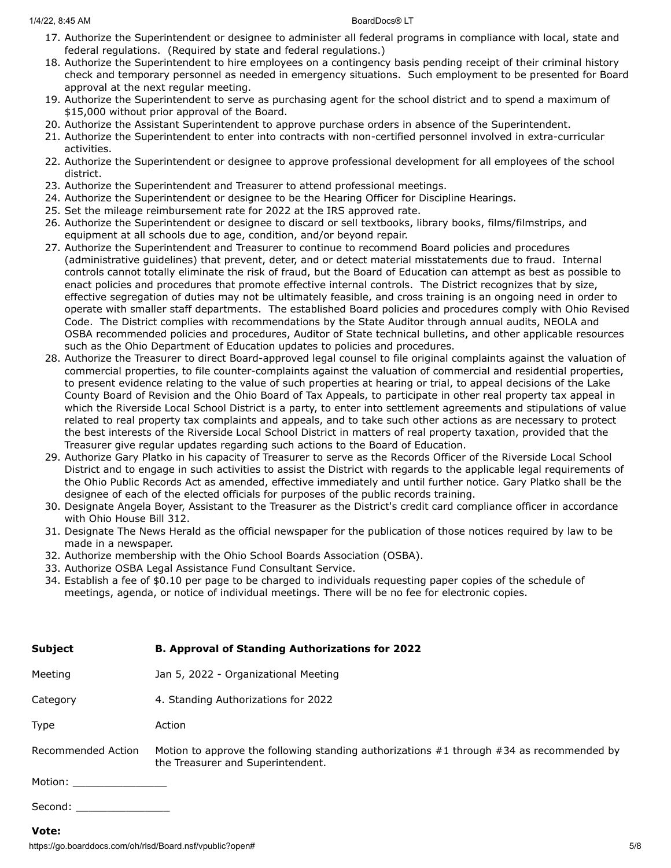- 17. Authorize the Superintendent or designee to administer all federal programs in compliance with local, state and federal regulations. (Required by state and federal regulations.)
- 18. Authorize the Superintendent to hire employees on a contingency basis pending receipt of their criminal history check and temporary personnel as needed in emergency situations. Such employment to be presented for Board approval at the next regular meeting.
- 19. Authorize the Superintendent to serve as purchasing agent for the school district and to spend a maximum of \$15,000 without prior approval of the Board.
- 20. Authorize the Assistant Superintendent to approve purchase orders in absence of the Superintendent.
- 21. Authorize the Superintendent to enter into contracts with non-certified personnel involved in extra-curricular activities.
- 22. Authorize the Superintendent or designee to approve professional development for all employees of the school district.
- 23. Authorize the Superintendent and Treasurer to attend professional meetings.
- 24. Authorize the Superintendent or designee to be the Hearing Officer for Discipline Hearings.
- 25. Set the mileage reimbursement rate for 2022 at the IRS approved rate.
- 26. Authorize the Superintendent or designee to discard or sell textbooks, library books, films/filmstrips, and equipment at all schools due to age, condition, and/or beyond repair.
- 27. Authorize the Superintendent and Treasurer to continue to recommend Board policies and procedures (administrative guidelines) that prevent, deter, and or detect material misstatements due to fraud. Internal controls cannot totally eliminate the risk of fraud, but the Board of Education can attempt as best as possible to enact policies and procedures that promote effective internal controls. The District recognizes that by size, effective segregation of duties may not be ultimately feasible, and cross training is an ongoing need in order to operate with smaller staff departments. The established Board policies and procedures comply with Ohio Revised Code. The District complies with recommendations by the State Auditor through annual audits, NEOLA and OSBA recommended policies and procedures, Auditor of State technical bulletins, and other applicable resources such as the Ohio Department of Education updates to policies and procedures.
- 28. Authorize the Treasurer to direct Board-approved legal counsel to file original complaints against the valuation of commercial properties, to file counter-complaints against the valuation of commercial and residential properties, to present evidence relating to the value of such properties at hearing or trial, to appeal decisions of the Lake County Board of Revision and the Ohio Board of Tax Appeals, to participate in other real property tax appeal in which the Riverside Local School District is a party, to enter into settlement agreements and stipulations of value related to real property tax complaints and appeals, and to take such other actions as are necessary to protect the best interests of the Riverside Local School District in matters of real property taxation, provided that the Treasurer give regular updates regarding such actions to the Board of Education.
- 29. Authorize Gary Platko in his capacity of Treasurer to serve as the Records Officer of the Riverside Local School District and to engage in such activities to assist the District with regards to the applicable legal requirements of the Ohio Public Records Act as amended, effective immediately and until further notice. Gary Platko shall be the designee of each of the elected officials for purposes of the public records training.
- 30. Designate Angela Boyer, Assistant to the Treasurer as the District's credit card compliance officer in accordance with Ohio House Bill 312.
- 31. Designate The News Herald as the official newspaper for the publication of those notices required by law to be made in a newspaper.
- 32. Authorize membership with the Ohio School Boards Association (OSBA).
- 33. Authorize OSBA Legal Assistance Fund Consultant Service.
- 34. Establish a fee of \$0.10 per page to be charged to individuals requesting paper copies of the schedule of meetings, agenda, or notice of individual meetings. There will be no fee for electronic copies.

| <b>Subject</b>                                                                                                                                                                                                                                  | <b>B. Approval of Standing Authorizations for 2022</b>                                                                            |
|-------------------------------------------------------------------------------------------------------------------------------------------------------------------------------------------------------------------------------------------------|-----------------------------------------------------------------------------------------------------------------------------------|
| Meeting                                                                                                                                                                                                                                         | Jan 5, 2022 - Organizational Meeting                                                                                              |
| Category                                                                                                                                                                                                                                        | 4. Standing Authorizations for 2022                                                                                               |
| Type                                                                                                                                                                                                                                            | Action                                                                                                                            |
| Recommended Action                                                                                                                                                                                                                              | Motion to approve the following standing authorizations $#1$ through $#34$ as recommended by<br>the Treasurer and Superintendent. |
| Motion: ________________                                                                                                                                                                                                                        |                                                                                                                                   |
| Second:<br><u>and the company of the company of the company of the company of the company of the company of the company of the company of the company of the company of the company of the company of the company of the company of the com</u> |                                                                                                                                   |

### **Vote:**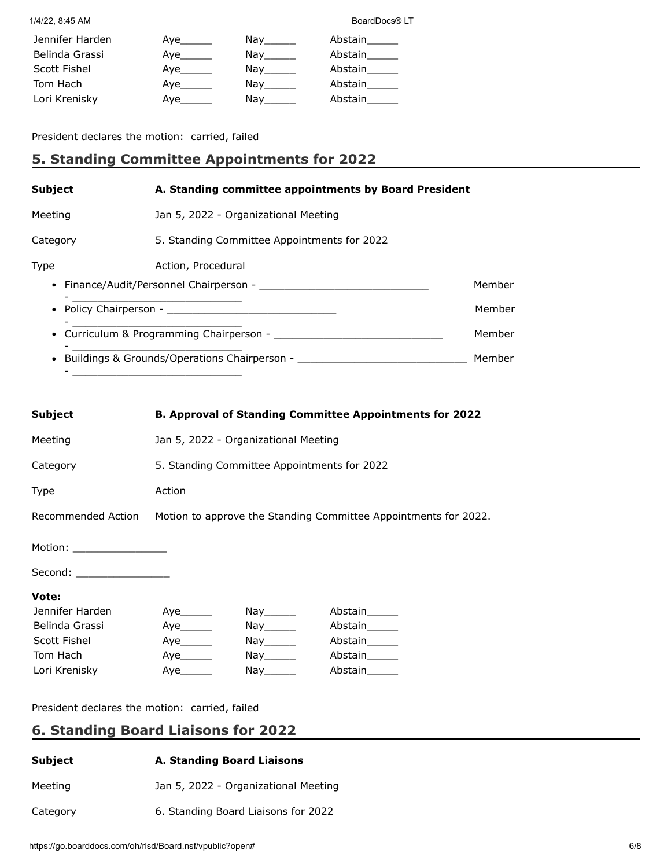| Jennifer Harden | Aye_______ | Nay the second the second second that the second second second in the second second second second second second $\sim$ | Abstain |
|-----------------|------------|------------------------------------------------------------------------------------------------------------------------|---------|
| Belinda Grassi  | Aye        | Nav                                                                                                                    | Abstain |
| Scott Fishel    | Aye        | Nay the second the second second that the second second second the second second second second second second s         | Abstain |
| Tom Hach        | Aye        | Nay                                                                                                                    | Abstain |
| Lori Krenisky   | Ave        | Nav l                                                                                                                  | Abstain |

President declares the motion: carried, failed

- \_\_\_\_\_\_\_\_\_\_\_\_\_\_\_\_\_\_\_\_\_\_\_\_\_\_\_

# **5. Standing Committee Appointments for 2022**

| <b>Subject</b> | A. Standing committee appointments by Board President  |        |  |
|----------------|--------------------------------------------------------|--------|--|
| Meeting        | Jan 5, 2022 - Organizational Meeting                   |        |  |
| Category       | 5. Standing Committee Appointments for 2022            |        |  |
| Type           | Action, Procedural                                     |        |  |
|                | • Finance/Audit/Personnel Chairperson -                | Member |  |
|                | <u> 1980 - Jan Barnett, fransk politiker (d. 1980)</u> | Member |  |
|                | • Curriculum & Programming Chairperson -               | Member |  |
|                | • Buildings & Grounds/Operations Chairperson -         | Member |  |

| <b>Subject</b>             | <b>B. Approval of Standing Committee Appointments for 2022</b>  |                                                                                                                                                                                                                                |               |
|----------------------------|-----------------------------------------------------------------|--------------------------------------------------------------------------------------------------------------------------------------------------------------------------------------------------------------------------------|---------------|
| Meeting                    | Jan 5, 2022 - Organizational Meeting                            |                                                                                                                                                                                                                                |               |
| Category                   | 5. Standing Committee Appointments for 2022                     |                                                                                                                                                                                                                                |               |
| Type                       | Action                                                          |                                                                                                                                                                                                                                |               |
| Recommended Action         | Motion to approve the Standing Committee Appointments for 2022. |                                                                                                                                                                                                                                |               |
| Motion: __________________ |                                                                 |                                                                                                                                                                                                                                |               |
| Second: _________________  |                                                                 |                                                                                                                                                                                                                                |               |
| Vote:                      |                                                                 |                                                                                                                                                                                                                                |               |
| Jennifer Harden            |                                                                 | $\mathsf{Nay}$ <sub>________</sub>                                                                                                                                                                                             | Abstain______ |
| Belinda Grassi             |                                                                 | Nay ________                                                                                                                                                                                                                   | Abstain______ |
| Scott Fishel               |                                                                 | Nay ________                                                                                                                                                                                                                   | Abstain______ |
| Tom Hach                   | Aye                                                             | Nay________                                                                                                                                                                                                                    | Abstain______ |
| Lori Krenisky              | Aye                                                             | Nay the search of the search of the search of the search of the search of the search of the search of the search of the search of the search of the search of the search of the search of the search of the search of the sear | Abstain       |

President declares the motion: carried, failed

# **6. Standing Board Liaisons for 2022**

| Subject  | A. Standing Board Liaisons           |
|----------|--------------------------------------|
| Meeting  | Jan 5, 2022 - Organizational Meeting |
| Category | 6. Standing Board Liaisons for 2022  |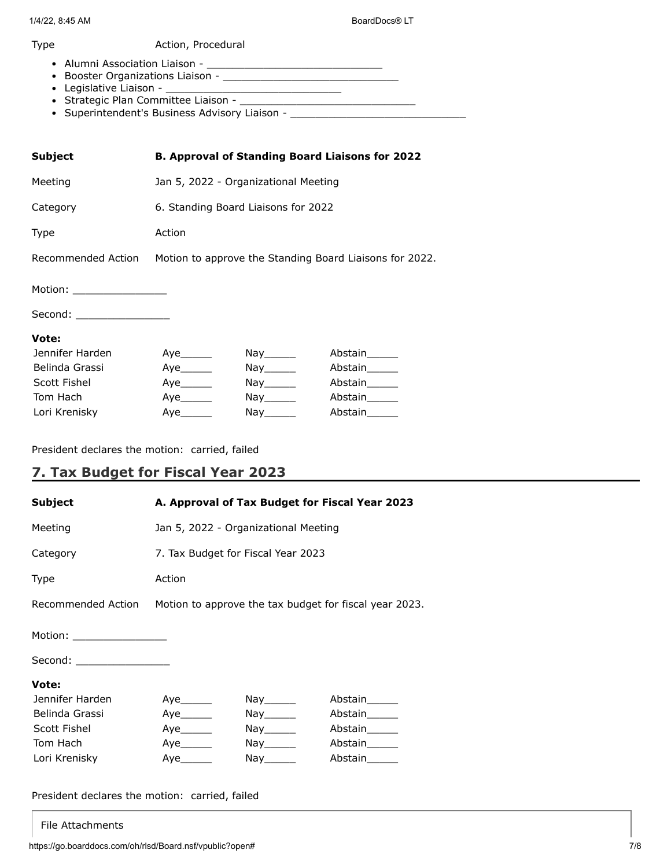### Type **Action**, Procedural

- Alumni Association Liaison \_\_\_\_\_\_\_\_\_\_\_\_\_\_\_\_\_\_\_\_\_\_\_\_\_\_\_\_
- Booster Organizations Liaison \_\_\_\_\_\_\_\_\_\_\_\_\_\_\_\_\_\_\_\_\_\_\_\_\_\_\_\_
- Legislative Liaison \_\_\_\_\_\_\_\_\_\_\_\_\_\_\_\_\_\_\_\_\_\_\_\_\_\_\_\_
- Strategic Plan Committee Liaison \_\_\_\_\_\_\_\_\_\_\_\_\_\_\_\_\_\_\_\_\_\_\_\_\_\_\_\_
- Superintendent's Business Advisory Liaison \_\_\_\_\_\_\_\_\_\_\_\_\_\_\_\_\_\_\_\_\_\_\_\_\_\_\_\_\_\_\_\_\_

| <b>Subject</b>             | <b>B. Approval of Standing Board Liaisons for 2022</b>                     |                                                                                                                                                                                                                                |               |
|----------------------------|----------------------------------------------------------------------------|--------------------------------------------------------------------------------------------------------------------------------------------------------------------------------------------------------------------------------|---------------|
| Meeting                    | Jan 5, 2022 - Organizational Meeting                                       |                                                                                                                                                                                                                                |               |
| Category                   | 6. Standing Board Liaisons for 2022                                        |                                                                                                                                                                                                                                |               |
| <b>Type</b>                | Action                                                                     |                                                                                                                                                                                                                                |               |
|                            | Recommended Action Motion to approve the Standing Board Liaisons for 2022. |                                                                                                                                                                                                                                |               |
| Motion: __________________ |                                                                            |                                                                                                                                                                                                                                |               |
| Second: __________________ |                                                                            |                                                                                                                                                                                                                                |               |
| Vote:                      |                                                                            |                                                                                                                                                                                                                                |               |
| Jennifer Harden            |                                                                            | Nay ________                                                                                                                                                                                                                   | Abstain______ |
| Belinda Grassi             |                                                                            | $\mathsf{Nay} \_\_\_\_\_\$                                                                                                                                                                                                     | Abstain       |
| Scott Fishel               | Aye                                                                        | $\mathsf{Nay} \_\_\_\_\_\$                                                                                                                                                                                                     | Abstain______ |
| Tom Hach                   | Aye                                                                        | $\mathsf{Nay} \_\_\_\_\_\$                                                                                                                                                                                                     | Abstain______ |
| Lori Krenisky              | Aye                                                                        | Nay the search of the search of the search of the search of the search of the search of the search of the search of the search of the search of the search of the search of the search of the search of the search of the sear | Abstain       |

President declares the motion: carried, failed

# **7. Tax Budget for Fiscal Year 2023**

| <b>Subject</b>             | A. Approval of Tax Budget for Fiscal Year 2023                            |            |               |
|----------------------------|---------------------------------------------------------------------------|------------|---------------|
| Meeting                    | Jan 5, 2022 - Organizational Meeting                                      |            |               |
| Category                   | 7. Tax Budget for Fiscal Year 2023                                        |            |               |
| <b>Type</b>                | Action                                                                    |            |               |
|                            | Recommended Action Motion to approve the tax budget for fiscal year 2023. |            |               |
| Motion: __________________ |                                                                           |            |               |
| Second: __________________ |                                                                           |            |               |
| Vote:                      |                                                                           |            |               |
| Jennifer Harden            |                                                                           | Nay_______ | Abstain______ |
| Belinda Grassi             | Aye                                                                       | Nay_______ | Abstain______ |
| Scott Fishel               |                                                                           | Nay_______ | Abstain______ |
| Tom Hach                   | Aye_______                                                                | Nay_______ | Abstain       |
| Lori Krenisky              |                                                                           | Nay_______ | Abstain       |

President declares the motion: carried, failed